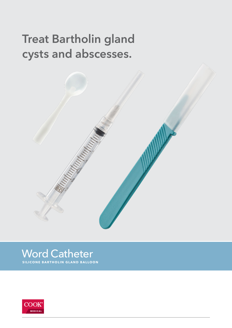# **Treat Bartholin gland** cysts and abscesses.